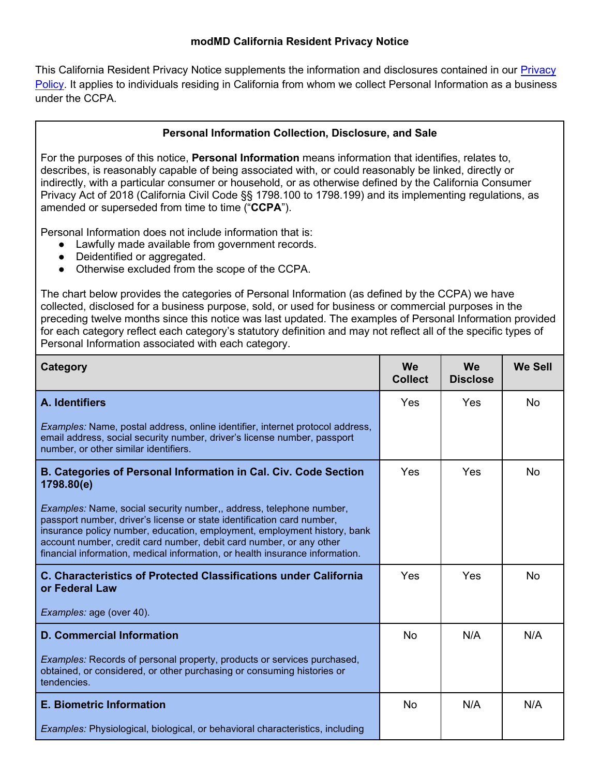#### **modMD California Resident Privacy Notice**

This California Resident [Privacy](https://www.modmdlabs.com/privacy-policy) Notice supplements the information and disclosures contained in our Privacy [Policy.](https://www.modmdlabs.com/privacy-policy) It applies to individuals residing in California from whom we collect Personal Information as a business under the CCPA.

### **Personal Information Collection, Disclosure, and Sale**

For the purposes of this notice, **Personal Information** means information that identifies, relates to, describes, is reasonably capable of being associated with, or could reasonably be linked, directly or indirectly, with a particular consumer or household, or as otherwise defined by the California Consumer Privacy Act of 2018 (California Civil Code §§ 1798.100 to 1798.199) and its implementing regulations, as amended or superseded from time to time ("**CCPA**").

Personal Information does not include information that is:

- Lawfully made available from government records.
- Deidentified or aggregated.
- Otherwise excluded from the scope of the CCPA.

The chart below provides the categories of Personal Information (as defined by the CCPA) we have collected, disclosed for a business purpose, sold, or used for business or commercial purposes in the preceding twelve months since this notice was last updated. The examples of Personal Information provided for each category reflect each category's statutory definition and may not reflect all of the specific types of Personal Information associated with each category.

| Category                                                                                                                                                                                                                                                                                                                                                                         | <b>We</b><br><b>Collect</b> | We<br><b>Disclose</b> | <b>We Sell</b> |
|----------------------------------------------------------------------------------------------------------------------------------------------------------------------------------------------------------------------------------------------------------------------------------------------------------------------------------------------------------------------------------|-----------------------------|-----------------------|----------------|
| A. Identifiers                                                                                                                                                                                                                                                                                                                                                                   | Yes                         | Yes                   | No             |
| <i>Examples:</i> Name, postal address, online identifier, internet protocol address,<br>email address, social security number, driver's license number, passport<br>number, or other similar identifiers.                                                                                                                                                                        |                             |                       |                |
| B. Categories of Personal Information in Cal. Civ. Code Section<br>1798.80(e)                                                                                                                                                                                                                                                                                                    | Yes                         | Yes                   | <b>No</b>      |
| Examples: Name, social security number,, address, telephone number,<br>passport number, driver's license or state identification card number,<br>insurance policy number, education, employment, employment history, bank<br>account number, credit card number, debit card number, or any other<br>financial information, medical information, or health insurance information. |                             |                       |                |
| C. Characteristics of Protected Classifications under California<br>or Federal Law                                                                                                                                                                                                                                                                                               | Yes                         | Yes                   | <b>No</b>      |
| Examples: age (over 40).                                                                                                                                                                                                                                                                                                                                                         |                             |                       |                |
| <b>D. Commercial Information</b>                                                                                                                                                                                                                                                                                                                                                 | <b>No</b>                   | N/A                   | N/A            |
| Examples: Records of personal property, products or services purchased,<br>obtained, or considered, or other purchasing or consuming histories or<br>tendencies.                                                                                                                                                                                                                 |                             |                       |                |
| <b>E. Biometric Information</b>                                                                                                                                                                                                                                                                                                                                                  | <b>No</b>                   | N/A                   | N/A            |
| <i>Examples:</i> Physiological, biological, or behavioral characteristics, including                                                                                                                                                                                                                                                                                             |                             |                       |                |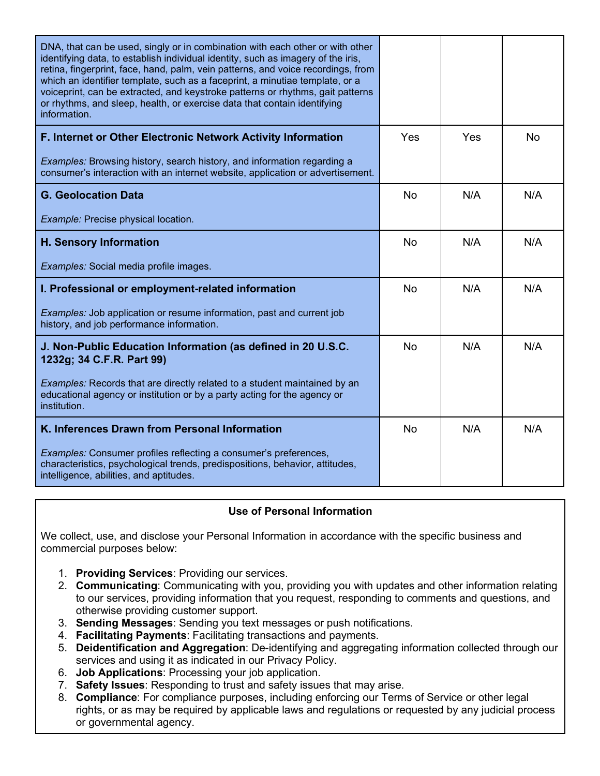| DNA, that can be used, singly or in combination with each other or with other<br>identifying data, to establish individual identity, such as imagery of the iris,<br>retina, fingerprint, face, hand, palm, vein patterns, and voice recordings, from<br>which an identifier template, such as a faceprint, a minutiae template, or a<br>voiceprint, can be extracted, and keystroke patterns or rhythms, gait patterns<br>or rhythms, and sleep, health, or exercise data that contain identifying<br>information. |           |     |           |
|---------------------------------------------------------------------------------------------------------------------------------------------------------------------------------------------------------------------------------------------------------------------------------------------------------------------------------------------------------------------------------------------------------------------------------------------------------------------------------------------------------------------|-----------|-----|-----------|
| F. Internet or Other Electronic Network Activity Information                                                                                                                                                                                                                                                                                                                                                                                                                                                        | Yes       | Yes | <b>No</b> |
| <b>Examples:</b> Browsing history, search history, and information regarding a<br>consumer's interaction with an internet website, application or advertisement.                                                                                                                                                                                                                                                                                                                                                    |           |     |           |
| <b>G. Geolocation Data</b>                                                                                                                                                                                                                                                                                                                                                                                                                                                                                          | <b>No</b> | N/A | N/A       |
| Example: Precise physical location.                                                                                                                                                                                                                                                                                                                                                                                                                                                                                 |           |     |           |
| H. Sensory Information                                                                                                                                                                                                                                                                                                                                                                                                                                                                                              | <b>No</b> | N/A | N/A       |
| Examples: Social media profile images.                                                                                                                                                                                                                                                                                                                                                                                                                                                                              |           |     |           |
| I. Professional or employment-related information                                                                                                                                                                                                                                                                                                                                                                                                                                                                   | <b>No</b> | N/A | N/A       |
| Examples: Job application or resume information, past and current job<br>history, and job performance information.                                                                                                                                                                                                                                                                                                                                                                                                  |           |     |           |
| J. Non-Public Education Information (as defined in 20 U.S.C.<br>1232g; 34 C.F.R. Part 99)                                                                                                                                                                                                                                                                                                                                                                                                                           | <b>No</b> | N/A | N/A       |
| Examples: Records that are directly related to a student maintained by an<br>educational agency or institution or by a party acting for the agency or<br>institution.                                                                                                                                                                                                                                                                                                                                               |           |     |           |
| K. Inferences Drawn from Personal Information                                                                                                                                                                                                                                                                                                                                                                                                                                                                       | <b>No</b> | N/A | N/A       |
| Examples: Consumer profiles reflecting a consumer's preferences,<br>characteristics, psychological trends, predispositions, behavior, attitudes,<br>intelligence, abilities, and aptitudes.                                                                                                                                                                                                                                                                                                                         |           |     |           |

## **Use of Personal Information**

We collect, use, and disclose your Personal Information in accordance with the specific business and commercial purposes below:

- 1. **Providing Services**: Providing our services.
- 2. **Communicating**: Communicating with you, providing you with updates and other information relating to our services, providing information that you request, responding to comments and questions, and otherwise providing customer support.
- 3. **Sending Messages**: Sending you text messages or push notifications.
- 4. **Facilitating Payments**: Facilitating transactions and payments.
- 5. **Deidentification and Aggregation**: De-identifying and aggregating information collected through our services and using it as indicated in our Privacy Policy.
- 6. **Job Applications**: Processing your job application.
- 7. **Safety Issues**: Responding to trust and safety issues that may arise.
- 8. **Compliance**: For compliance purposes, including enforcing our Terms of Service or other legal rights, or as may be required by applicable laws and regulations or requested by any judicial process or governmental agency.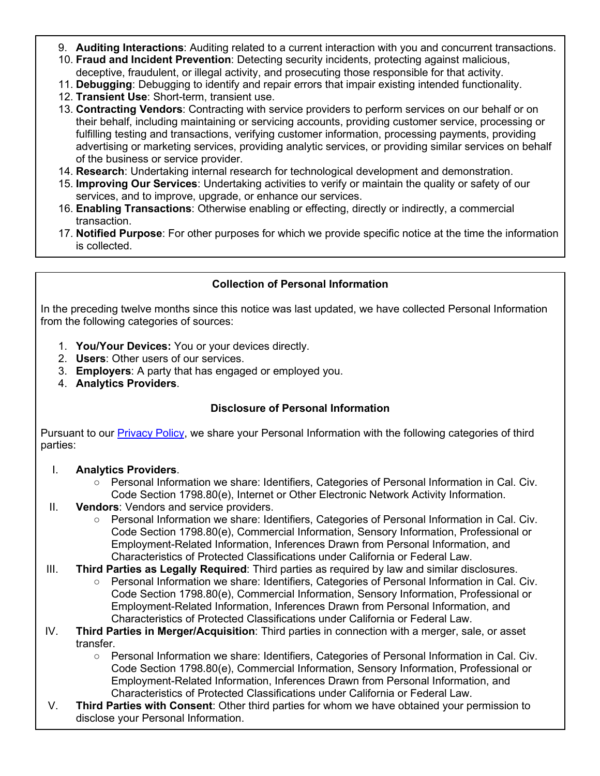- 9. **Auditing Interactions**: Auditing related to a current interaction with you and concurrent transactions.
- 10. **Fraud and Incident Prevention**: Detecting security incidents, protecting against malicious, deceptive, fraudulent, or illegal activity, and prosecuting those responsible for that activity.
- 11. **Debugging**: Debugging to identify and repair errors that impair existing intended functionality.
- 12. **Transient Use**: Short-term, transient use.
- 13. **Contracting Vendors**: Contracting with service providers to perform services on our behalf or on their behalf, including maintaining or servicing accounts, providing customer service, processing or fulfilling testing and transactions, verifying customer information, processing payments, providing advertising or marketing services, providing analytic services, or providing similar services on behalf of the business or service provider.
- 14. **Research**: Undertaking internal research for technological development and demonstration.
- 15. **Improving Our Services**: Undertaking activities to verify or maintain the quality or safety of our services, and to improve, upgrade, or enhance our services.
- 16. **Enabling Transactions**: Otherwise enabling or effecting, directly or indirectly, a commercial transaction.
- 17. **Notified Purpose**: For other purposes for which we provide specific notice at the time the information is collected.

## **Collection of Personal Information**

In the preceding twelve months since this notice was last updated, we have collected Personal Information from the following categories of sources:

- 1. **You/Your Devices:** You or your devices directly.
- 2. **Users**: Other users of our services.
- 3. **Employers**: A party that has engaged or employed you.
- 4. **Analytics Providers**.

# **Disclosure of Personal Information**

Pursuant to our [Privacy Policy,](https://www.modmdlabs.com/privacy-policy) we share your Personal Information with the following categories of third parties:

### I. **Analytics Providers**.

- Personal Information we share: Identifiers, Categories of Personal Information in Cal. Civ. Code Section 1798.80(e), Internet or Other Electronic Network Activity Information.
- II. **Vendors**: Vendors and service providers.
	- Personal Information we share: Identifiers, Categories of Personal Information in Cal. Civ. Code Section 1798.80(e), Commercial Information, Sensory Information, Professional or Employment-Related Information, Inferences Drawn from Personal Information, and Characteristics of Protected Classifications under California or Federal Law.
- III. **Third Parties as Legally Required**: Third parties as required by law and similar disclosures.
	- Personal Information we share: Identifiers, Categories of Personal Information in Cal. Civ. Code Section 1798.80(e), Commercial Information, Sensory Information, Professional or Employment-Related Information, Inferences Drawn from Personal Information, and Characteristics of Protected Classifications under California or Federal Law.
- IV. **Third Parties in Merger/Acquisition**: Third parties in connection with a merger, sale, or asset transfer.
	- Personal Information we share: Identifiers, Categories of Personal Information in Cal. Civ. Code Section 1798.80(e), Commercial Information, Sensory Information, Professional or Employment-Related Information, Inferences Drawn from Personal Information, and Characteristics of Protected Classifications under California or Federal Law.
- V. **Third Parties with Consent**: Other third parties for whom we have obtained your permission to disclose your Personal Information.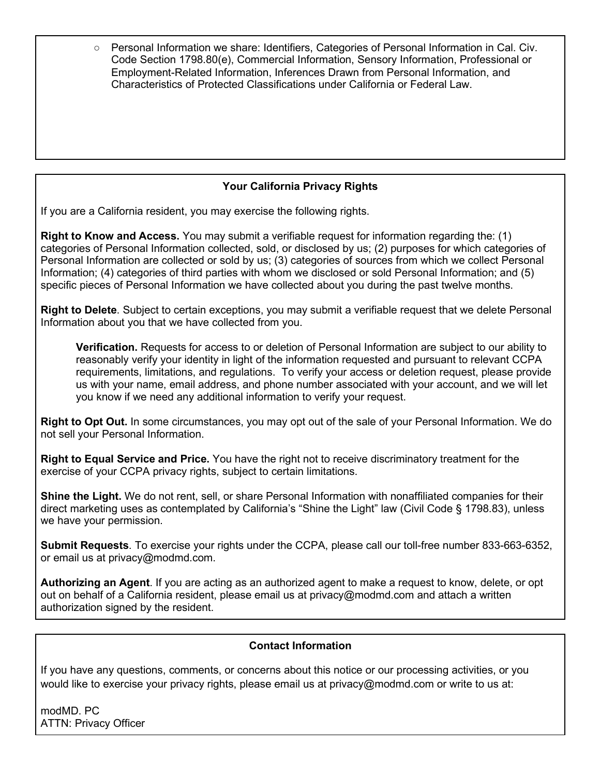○ Personal Information we share: Identifiers, Categories of Personal Information in Cal. Civ. Code Section 1798.80(e), Commercial Information, Sensory Information, Professional or Employment-Related Information, Inferences Drawn from Personal Information, and Characteristics of Protected Classifications under California or Federal Law.

# **Your California Privacy Rights**

If you are a California resident, you may exercise the following rights.

**Right to Know and Access.** You may submit a verifiable request for information regarding the: (1) categories of Personal Information collected, sold, or disclosed by us; (2) purposes for which categories of Personal Information are collected or sold by us; (3) categories of sources from which we collect Personal Information; (4) categories of third parties with whom we disclosed or sold Personal Information; and (5) specific pieces of Personal Information we have collected about you during the past twelve months.

**Right to Delete**. Subject to certain exceptions, you may submit a verifiable request that we delete Personal Information about you that we have collected from you.

**Verification.** Requests for access to or deletion of Personal Information are subject to our ability to reasonably verify your identity in light of the information requested and pursuant to relevant CCPA requirements, limitations, and regulations. To verify your access or deletion request, please provide us with your name, email address, and phone number associated with your account, and we will let you know if we need any additional information to verify your request.

**Right to Opt Out.** In some circumstances, you may opt out of the sale of your Personal Information. We do not sell your Personal Information.

**Right to Equal Service and Price.** You have the right not to receive discriminatory treatment for the exercise of your CCPA privacy rights, subject to certain limitations.

**Shine the Light.** We do not rent, sell, or share Personal Information with nonaffiliated companies for their direct marketing uses as contemplated by California's "Shine the Light" law (Civil Code § 1798.83), unless we have your permission.

**Submit Requests**. To exercise your rights under the CCPA, please call our toll-free number 833-663-6352, or email us at privacy@modmd.com.

**Authorizing an Agent**. If you are acting as an authorized agent to make a request to know, delete, or opt out on behalf of a California resident, please email us at privacy@modmd.com and attach a written authorization signed by the resident.

## **Contact Information**

If you have any questions, comments, or concerns about this notice or our processing activities, or you would like to exercise your privacy rights, please email us at privacy@modmd.com or write to us at:

modMD. PC ATTN: Privacy Officer